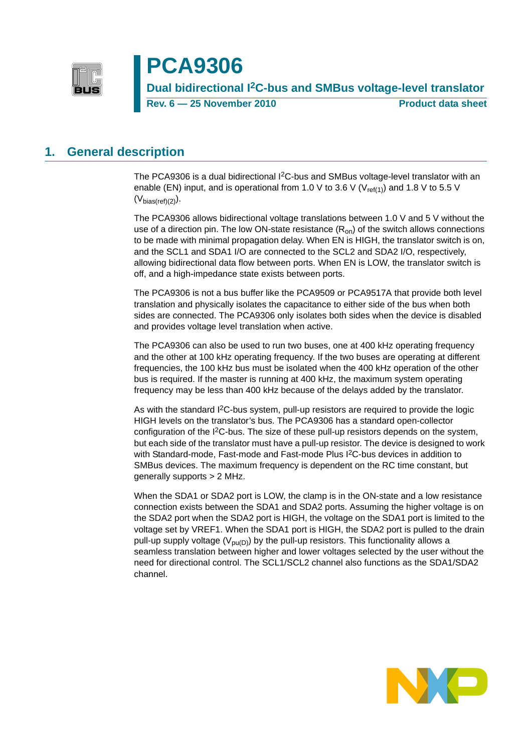

# **PCA9306**

**Dual bidirectional I2C-bus and SMBus voltage-level translator Rev. 6 – 25 November 2010** Product data sheet

# <span id="page-0-0"></span>**1. General description**

The PCA9306 is a dual bidirectional  $1<sup>2</sup>C$ -bus and SMBus voltage-level translator with an enable (EN) input, and is operational from 1.0 V to 3.6 V ( $V_{ref(1)}$ ) and 1.8 V to 5.5 V  $(V_{bias(ref)(2)}).$ 

The PCA9306 allows bidirectional voltage translations between 1.0 V and 5 V without the use of a direction pin. The low ON-state resistance  $(R_{on})$  of the switch allows connections to be made with minimal propagation delay. When EN is HIGH, the translator switch is on, and the SCL1 and SDA1 I/O are connected to the SCL2 and SDA2 I/O, respectively, allowing bidirectional data flow between ports. When EN is LOW, the translator switch is off, and a high-impedance state exists between ports.

The PCA9306 is not a bus buffer like the PCA9509 or PCA9517A that provide both level translation and physically isolates the capacitance to either side of the bus when both sides are connected. The PCA9306 only isolates both sides when the device is disabled and provides voltage level translation when active.

The PCA9306 can also be used to run two buses, one at 400 kHz operating frequency and the other at 100 kHz operating frequency. If the two buses are operating at different frequencies, the 100 kHz bus must be isolated when the 400 kHz operation of the other bus is required. If the master is running at 400 kHz, the maximum system operating frequency may be less than 400 kHz because of the delays added by the translator.

As with the standard I<sup>2</sup>C-bus system, pull-up resistors are required to provide the logic HIGH levels on the translator's bus. The PCA9306 has a standard open-collector configuration of the I2C-bus. The size of these pull-up resistors depends on the system, but each side of the translator must have a pull-up resistor. The device is designed to work with Standard-mode, Fast-mode and Fast-mode Plus I2C-bus devices in addition to SMBus devices. The maximum frequency is dependent on the RC time constant, but generally supports > 2 MHz.

When the SDA1 or SDA2 port is LOW, the clamp is in the ON-state and a low resistance connection exists between the SDA1 and SDA2 ports. Assuming the higher voltage is on the SDA2 port when the SDA2 port is HIGH, the voltage on the SDA1 port is limited to the voltage set by VREF1. When the SDA1 port is HIGH, the SDA2 port is pulled to the drain pull-up supply voltage ( $V_{\text{pu(D)}}$ ) by the pull-up resistors. This functionality allows a seamless translation between higher and lower voltages selected by the user without the need for directional control. The SCL1/SCL2 channel also functions as the SDA1/SDA2 channel.

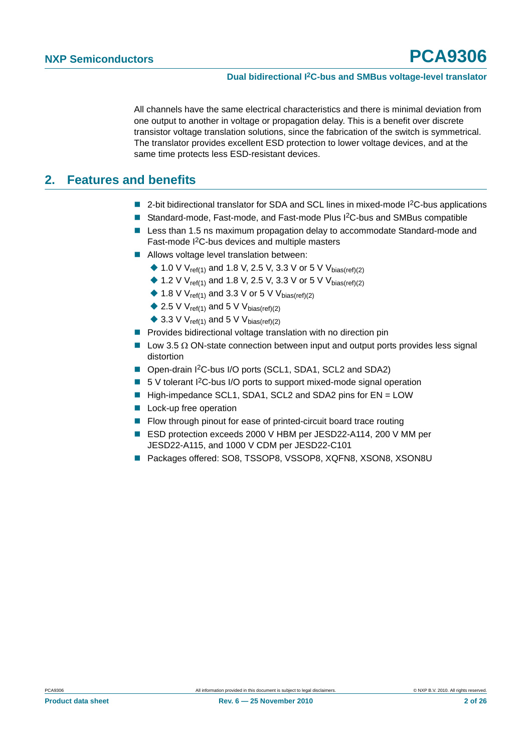All channels have the same electrical characteristics and there is minimal deviation from one output to another in voltage or propagation delay. This is a benefit over discrete transistor voltage translation solutions, since the fabrication of the switch is symmetrical. The translator provides excellent ESD protection to lower voltage devices, and at the same time protects less ESD-resistant devices.

### <span id="page-1-0"></span>**2. Features and benefits**

- 2-bit bidirectional translator for SDA and SCL lines in mixed-mode I<sup>2</sup>C-bus applications
- Standard-mode, Fast-mode, and Fast-mode Plus  $1<sup>2</sup>C$ -bus and SMBus compatible
- **Less than 1.5 ns maximum propagation delay to accommodate Standard-mode and** Fast-mode I<sup>2</sup>C-bus devices and multiple masters
- Allows voltage level translation between:
	- ◆ 1.0 V V<sub>ref(1)</sub> and 1.8 V, 2.5 V, 3.3 V or 5 V V<sub>bias(ref)(2)</sub>
	- ◆ 1.2 V  $V_{ref(1)}$  and 1.8 V, 2.5 V, 3.3 V or 5 V  $V_{bias(ref)}(2)$
	- $\triangle$  1.8 V V<sub>ref(1)</sub> and 3.3 V or 5 V V<sub>bias(ref)(2)</sub>
	- ◆ 2.5 V  $V_{ref(1)}$  and 5 V  $V_{bias(ref)(2)}$
	- $\blacklozenge$  3.3 V V<sub>ref(1)</sub> and 5 V V<sub>bias(ref)(2)</sub>
- **Provides bidirectional voltage translation with no direction pin**
- Low 3.5  $\Omega$  ON-state connection between input and output ports provides less signal distortion
- Open-drain I<sup>2</sup>C-bus I/O ports (SCL1, SDA1, SCL2 and SDA2)
- 5 V tolerant I<sup>2</sup>C-bus I/O ports to support mixed-mode signal operation
- High-impedance SCL1, SDA1, SCL2 and SDA2 pins for EN = LOW
- **Lock-up free operation**
- $\blacksquare$  Flow through pinout for ease of printed-circuit board trace routing
- ESD protection exceeds 2000 V HBM per JESD22-A114, 200 V MM per JESD22-A115, and 1000 V CDM per JESD22-C101
- Packages offered: SO8, TSSOP8, VSSOP8, XQFN8, XSON8, XSON8U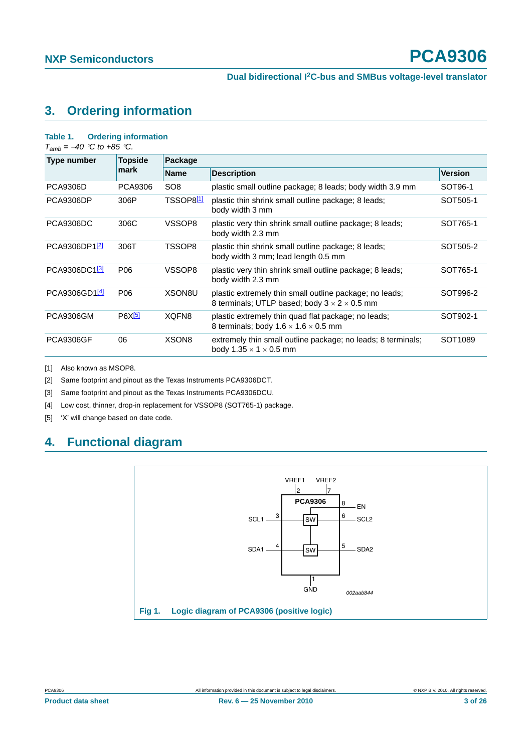# <span id="page-2-6"></span>**3. Ordering information**

#### **Table 1. Ordering information**

 $T_{amb} = -40$  °C to +85 °C.

| Type number               | <b>Topside</b>     | Package                |                                                                                                                     |                |
|---------------------------|--------------------|------------------------|---------------------------------------------------------------------------------------------------------------------|----------------|
|                           | mark               | <b>Name</b>            | <b>Description</b>                                                                                                  | <b>Version</b> |
| <b>PCA9306D</b>           | PCA9306            | SO <sub>8</sub>        | plastic small outline package; 8 leads; body width 3.9 mm                                                           | SOT96-1        |
| PCA9306DP                 | 306P               | TSSOP8 <mark>11</mark> | plastic thin shrink small outline package; 8 leads;<br>body width 3 mm                                              | SOT505-1       |
| <b>PCA9306DC</b>          | 306C               | VSSOP8                 | plastic very thin shrink small outline package; 8 leads;<br>body width 2.3 mm                                       | SOT765-1       |
| PCA9306DP1 <sup>[2]</sup> | 306T               | TSSOP8                 | plastic thin shrink small outline package; 8 leads;<br>body width 3 mm; lead length 0.5 mm                          | SOT505-2       |
| PCA9306DC13               | P06                | VSSOP8                 | plastic very thin shrink small outline package; 8 leads;<br>body width 2.3 mm                                       | SOT765-1       |
| PCA9306GD1[4]             | P <sub>06</sub>    | XSON8U                 | plastic extremely thin small outline package; no leads;<br>8 terminals; UTLP based; body $3 \times 2 \times 0.5$ mm | SOT996-2       |
| <b>PCA9306GM</b>          | P6X <sup>[5]</sup> | XQFN8                  | plastic extremely thin quad flat package; no leads;<br>8 terminals; body $1.6 \times 1.6 \times 0.5$ mm             | SOT902-1       |
| <b>PCA9306GF</b>          | 06                 | XSON <sub>8</sub>      | extremely thin small outline package; no leads; 8 terminals;<br>body $1.35 \times 1 \times 0.5$ mm                  | SOT1089        |

<span id="page-2-0"></span>[1] Also known as MSOP8.

<span id="page-2-1"></span>[2] Same footprint and pinout as the Texas Instruments PCA9306DCT.

<span id="page-2-2"></span>[3] Same footprint and pinout as the Texas Instruments PCA9306DCU.

<span id="page-2-3"></span>[4] Low cost, thinner, drop-in replacement for VSSOP8 (SOT765-1) package.

<span id="page-2-4"></span>[5] 'X' will change based on date code.

# <span id="page-2-7"></span>**4. Functional diagram**



<span id="page-2-5"></span>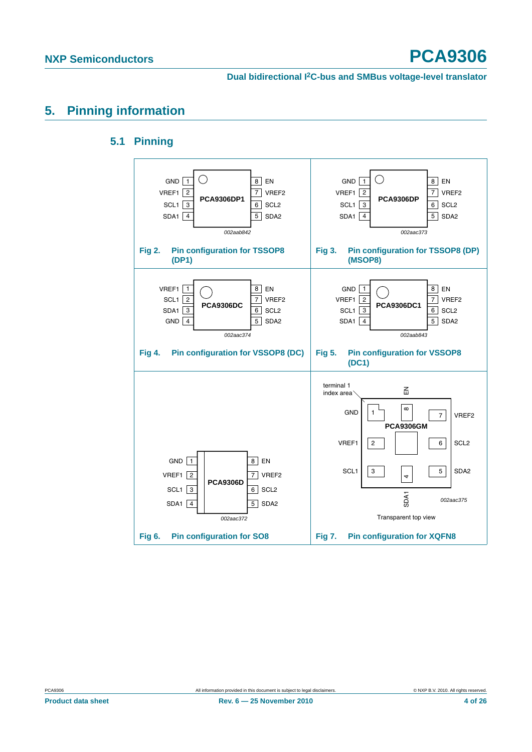# <span id="page-3-1"></span><span id="page-3-0"></span>**5. Pinning information**

## **5.1 Pinning**

| ( )<br>8 <sup>1</sup><br>EN<br><b>GND</b><br>$\mathbf{1}$<br>$\overline{7}$<br>VREF1<br>$\overline{c}$<br>VREF <sub>2</sub><br><b>PCA9306DP1</b><br>SCL <sub>1</sub><br>3<br>6 <br>SCL <sub>2</sub><br>SDA1<br>SDA2<br>$\overline{4}$<br>5 <sup>1</sup><br>002aab842 | $\left( \begin{array}{c} 1 \end{array} \right)$<br>EN<br><b>GND</b><br>$\overline{1}$<br>8 <sup>1</sup><br>VREF1<br>$\overline{c}$<br>VREF2<br>7<br><b>PCA9306DP</b><br>SCL1<br>SCL <sub>2</sub><br>3<br>6<br>SDA1<br>$5$ SDA2<br>$\overline{4}$<br>002aac373 |
|----------------------------------------------------------------------------------------------------------------------------------------------------------------------------------------------------------------------------------------------------------------------|---------------------------------------------------------------------------------------------------------------------------------------------------------------------------------------------------------------------------------------------------------------|
| <b>Fig 2.</b><br><b>Pin configuration for TSSOP8</b><br>(DP1)                                                                                                                                                                                                        | <b>Pin configuration for TSSOP8 (DP)</b><br><b>Fig 3.</b><br>(MSOP8)                                                                                                                                                                                          |
| VREF1<br>EN<br>8<br>SCL <sub>1</sub><br>$\overline{2}$<br>VREF <sub>2</sub><br>7<br><b>PCA9306DC</b><br>SDA1<br>3<br>SCL <sub>2</sub><br>6<br>GND<br>SDA2<br>$\overline{4}$<br>5<br>002aac374                                                                        | <b>GND</b><br>EN<br>8<br>VREF1<br>$\overline{2}$<br>VREF <sub>2</sub><br>7<br>PCA9306DC1<br>SCL <sub>1</sub><br>3<br>SCL <sub>2</sub><br>6<br>SDA1<br>SDA2<br>$\overline{4}$<br>5<br>002aab843                                                                |
| <b>Fig 4.</b><br><b>Pin configuration for VSSOP8 (DC)</b>                                                                                                                                                                                                            | <b>Fig 5.</b><br><b>Pin configuration for VSSOP8</b><br>(DC1)                                                                                                                                                                                                 |
|                                                                                                                                                                                                                                                                      | terminal 1<br>룹<br>index area<br>$\infty$<br><b>GND</b><br>1<br>$\overline{7}$<br>VREF <sub>2</sub>                                                                                                                                                           |
|                                                                                                                                                                                                                                                                      | <b>PCA9306GM</b><br>VREF1<br>SCL <sub>2</sub><br>$\overline{c}$<br>6                                                                                                                                                                                          |
| GND<br>$8$ EN<br>$\vert$ 1<br>VREF1 $\sqrt{2}$<br>VREF2<br>7<br><b>PCA9306D</b><br>SCL <sub>1</sub> $\sqrt{3}$<br>SCL <sub>2</sub><br>6                                                                                                                              | SCL <sub>1</sub><br>SDA <sub>2</sub><br>3<br>5<br>4                                                                                                                                                                                                           |
| SDA2<br>$SDA1$   4<br>5 <br>002aac372                                                                                                                                                                                                                                | SDA <sub>1</sub><br>002aac375<br>Transparent top view                                                                                                                                                                                                         |
| <b>Pin configuration for SO8</b><br><b>Fig 6.</b>                                                                                                                                                                                                                    | <b>Pin configuration for XQFN8</b><br><b>Fig 7.</b>                                                                                                                                                                                                           |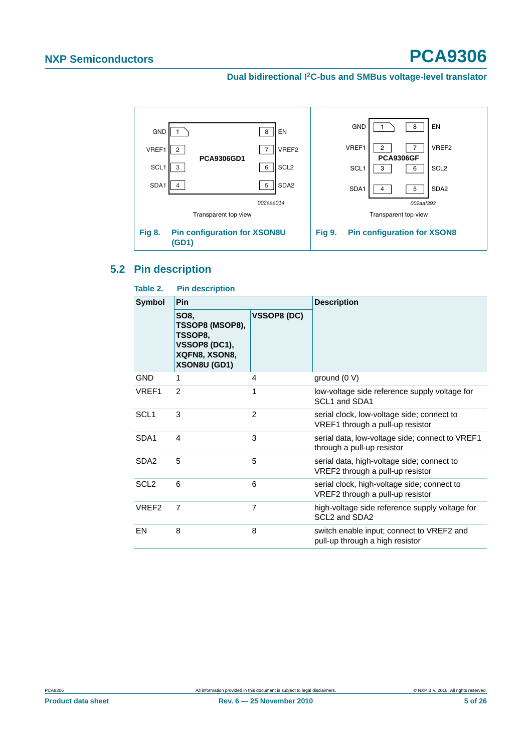#### **Dual bidirectional I2C-bus and SMBus voltage-level translator**



### <span id="page-4-0"></span>**5.2 Pin description**

| Table 2.         | <b>Pin description</b>                                                                      |                |                                                                                 |
|------------------|---------------------------------------------------------------------------------------------|----------------|---------------------------------------------------------------------------------|
| Symbol           | Pin                                                                                         |                | <b>Description</b>                                                              |
|                  | <b>SO8.</b><br>TSSOP8 (MSOP8),<br>TSSOP8,<br>VSSOP8 (DC1),<br>XQFN8, XSON8,<br>XSON8U (GD1) | VSSOP8 (DC)    |                                                                                 |
| <b>GND</b>       | 1                                                                                           | 4              | ground $(0 V)$                                                                  |
| VREF1            | $\mathfrak{p}$                                                                              | 1              | low-voltage side reference supply voltage for<br>SCL1 and SDA1                  |
| SCL <sub>1</sub> | 3                                                                                           | $\overline{2}$ | serial clock, low-voltage side; connect to<br>VREF1 through a pull-up resistor  |
| SDA <sub>1</sub> | 4                                                                                           | 3              | serial data, low-voltage side; connect to VREF1<br>through a pull-up resistor   |
| SDA <sub>2</sub> | 5                                                                                           | 5              | serial data, high-voltage side; connect to<br>VREF2 through a pull-up resistor  |
| SCL <sub>2</sub> | 6                                                                                           | 6              | serial clock, high-voltage side; connect to<br>VREF2 through a pull-up resistor |
| VREF2            | $\overline{7}$                                                                              | $\overline{7}$ | high-voltage side reference supply voltage for<br>SCL2 and SDA2                 |
| EN               | 8                                                                                           | 8              | switch enable input; connect to VREF2 and<br>pull-up through a high resistor    |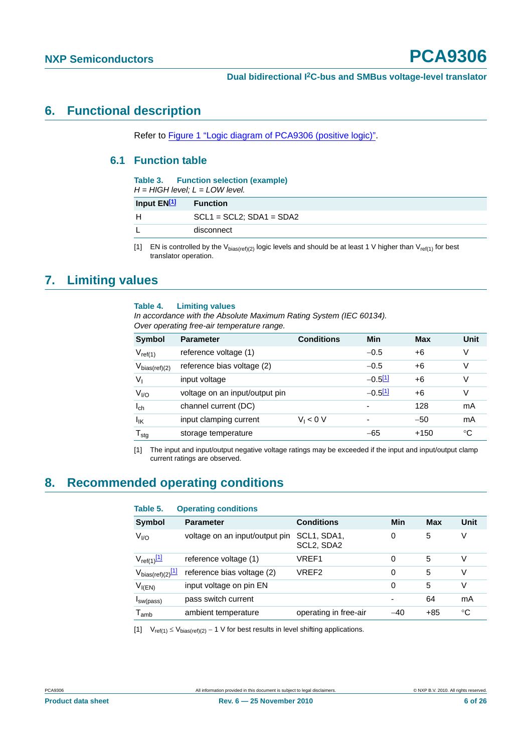### <span id="page-5-4"></span><span id="page-5-3"></span>**6. Functional description**

Refer to [Figure 1 "Logic diagram of PCA9306 \(positive logic\)".](#page-2-5)

### **6.1 Function table**

#### **Table 3. Function selection (example)**

*H = HIGH level; L = LOW level.*

| Input EN <sup>[1]</sup> | Function                      |
|-------------------------|-------------------------------|
| н                       | $SCL1 = SCL2$ ; $SDA1 = SDA2$ |
|                         | disconnect                    |

<span id="page-5-0"></span>[1] EN is controlled by the V<sub>bias(ref)(2)</sub> logic levels and should be at least 1 V higher than V<sub>ref(1)</sub> for best translator operation.

## <span id="page-5-5"></span>**7. Limiting values**

#### **Table 4. Limiting values**

*In accordance with the Absolute Maximum Rating System (IEC 60134). Over operating free-air temperature range.*

| <b>Symbol</b>      | <b>Parameter</b>               | <b>Conditions</b> | Min                      | <b>Max</b> | Unit |
|--------------------|--------------------------------|-------------------|--------------------------|------------|------|
| $V_{ref(1)}$       | reference voltage (1)          |                   | $-0.5$                   | +6         | V    |
| $V_{bias(ref)(2)}$ | reference bias voltage (2)     |                   | $-0.5$                   | $+6$       | V    |
| Vı                 | input voltage                  |                   | $-0.5$ <sup>[1]</sup>    | $+6$       | V    |
| $V_{I/O}$          | voltage on an input/output pin |                   | $-0.5$ <sup>[1]</sup>    | $+6$       | V    |
| $I_{ch}$           | channel current (DC)           |                   | $\overline{\phantom{0}}$ | 128        | mA   |
| lικ                | input clamping current         | $V_1 < 0 V$       | $\overline{\phantom{0}}$ | $-50$      | mA   |
| $T_{\text{stg}}$   | storage temperature            |                   | $-65$                    | $+150$     | °C   |

<span id="page-5-1"></span>[1] The input and input/output negative voltage ratings may be exceeded if the input and input/output clamp current ratings are observed.

# <span id="page-5-6"></span>**8. Recommended operating conditions**

#### **Table 5. Operating conditions Symbol Parameter Conditions Min Max Unit**  $V_{VQ}$  voltage on an input/output pin SCL1, SDA1, SCL2, SDA2 0 5 V  $V_{ref(1)}$  reference voltage (1) VREF1 0 5 V  $V_{bias(refi(2)}$ <sup>[1]</sup> reference bias voltage (2) VREF2 0 5 V  $V_{I(EN)}$  input voltage on pin EN 0 5 V I<sub>sw(pass</sub>) pass switch current the contract of the contract of the contract of the contract of the contract of the contract of the contract of the contract of the contract of the contract of the contract of the contract o T<sub>amb</sub> ambient temperature operating in free-air −40 +85 °C

<span id="page-5-2"></span>[1]  $V_{ref(1)} \leq V_{bias(ref)(2)} - 1$  V for best results in level shifting applications.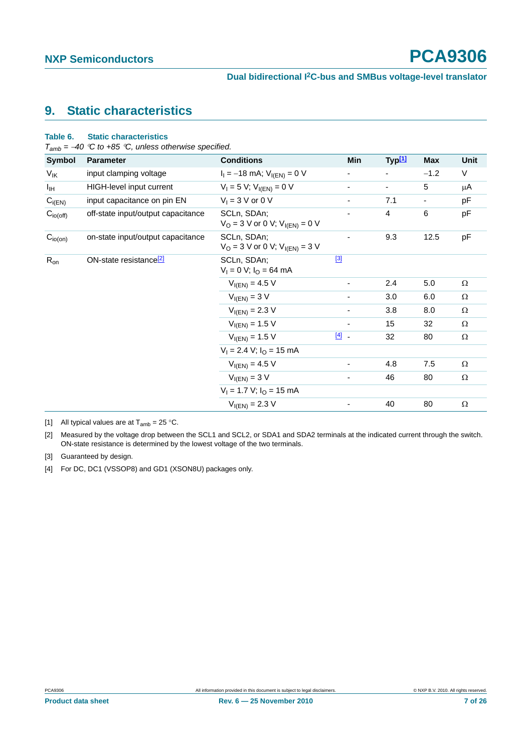## <span id="page-6-5"></span>**9. Static characteristics**

#### <span id="page-6-4"></span>**Table 6. Static characteristics**

*T<sub>amb</sub>* = −40 °C to +85 °C, unless otherwise specified.

| Symbol          | <b>Parameter</b>                   | <b>Conditions</b>                                    | Min                      | Typ <sup>[1]</sup>       | <b>Max</b>               | <b>Unit</b> |
|-----------------|------------------------------------|------------------------------------------------------|--------------------------|--------------------------|--------------------------|-------------|
| $V_{\text{IK}}$ | input clamping voltage             | $I_1 = -18$ mA; $V_{I(EN)} = 0$ V                    | $\overline{\phantom{a}}$ |                          | $-1.2$                   | V           |
| Iн              | HIGH-level input current           | $V_1 = 5 V$ ; $V_{I(EN)} = 0 V$                      | Ξ.                       | $\overline{\phantom{0}}$ | 5                        | μA          |
| $C_{i(EN)}$     | input capacitance on pin EN        | $V_1 = 3 V$ or 0 V                                   |                          | 7.1                      | $\overline{\phantom{a}}$ | pF          |
| $C_{io(off)}$   | off-state input/output capacitance | SCLn, SDAn;<br>$V_O = 3$ V or 0 V; $V_{I(EN)} = 0$ V |                          | $\overline{4}$           | 6                        | pF          |
| $C_{io(on)}$    | on-state input/output capacitance  | SCLn, SDAn;<br>$V_O = 3$ V or 0 V; $V_{I(EN)} = 3$ V |                          | 9.3                      | 12.5                     | pF          |
| $R_{on}$        | ON-state resistance <sup>[2]</sup> | SCLn, SDAn;<br>$V_1 = 0 V$ ; $I_Q = 64 mA$           | $[3]$                    |                          |                          |             |
|                 |                                    | $V_{I(EN)} = 4.5 V$                                  |                          | 2.4                      | 5.0                      | Ω           |
|                 |                                    | $V_{I(EN)} = 3 V$                                    | -                        | 3.0                      | 6.0                      | Ω           |
|                 |                                    | $V_{I(EN)} = 2.3 V$                                  | -                        | 3.8                      | 8.0                      | Ω           |
|                 |                                    | $V_{I(EN)} = 1.5 V$                                  | -                        | 15                       | 32                       | Ω           |
|                 |                                    | $V_{I(EN)} = 1.5 V$                                  | $\boxed{4}$ -            | 32                       | 80                       | Ω           |
|                 |                                    | $V_1 = 2.4$ V; $I_0 = 15$ mA                         |                          |                          |                          |             |
|                 |                                    | $V_{I(EN)} = 4.5 V$                                  | ۰                        | 4.8                      | 7.5                      | $\Omega$    |
|                 |                                    | $V_{I(EN)} = 3 V$                                    | $\overline{\phantom{0}}$ | 46                       | 80                       | Ω           |
|                 |                                    | $V_1 = 1.7 V$ ; $I_Q = 15 mA$                        |                          |                          |                          |             |
|                 |                                    | $V_{I(EN)} = 2.3 V$                                  |                          | 40                       | 80                       | Ω           |

<span id="page-6-0"></span>[1] All typical values are at  $T_{amb} = 25 \degree C$ .

<span id="page-6-1"></span>[2] Measured by the voltage drop between the SCL1 and SCL2, or SDA1 and SDA2 terminals at the indicated current through the switch. ON-state resistance is determined by the lowest voltage of the two terminals.

<span id="page-6-2"></span>[3] Guaranteed by design.

<span id="page-6-3"></span>[4] For DC, DC1 (VSSOP8) and GD1 (XSON8U) packages only.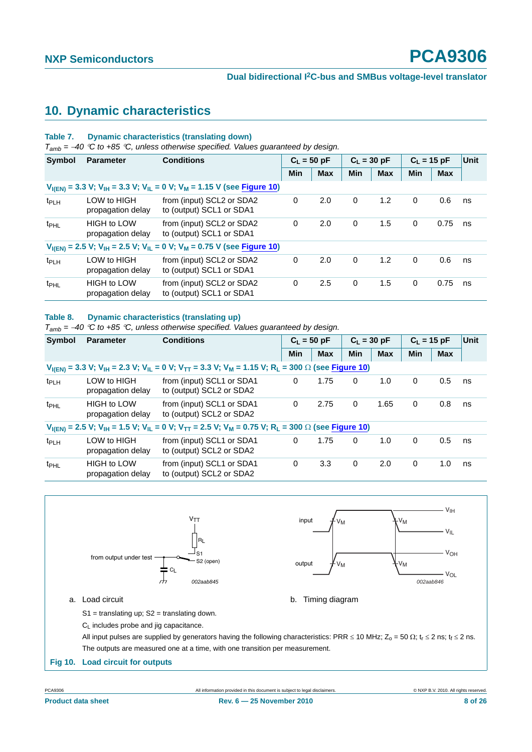# <span id="page-7-1"></span>**10. Dynamic characteristics**

#### **Table 7. Dynamic characteristics (translating down)**

*Tamb =* <sup>−</sup>*40* °*C to +85* °*C, unless otherwise specified. Values guaranteed by design.*

| Symbol           | <b>Conditions</b><br><b>Parameter</b>                                                    |                                                                                          | $C_L = 50 pF$ |            | $C_1 = 30 pF$ |            | $C_1 = 15 pF$ |            | <b>Unit</b> |
|------------------|------------------------------------------------------------------------------------------|------------------------------------------------------------------------------------------|---------------|------------|---------------|------------|---------------|------------|-------------|
|                  |                                                                                          |                                                                                          | <b>Min</b>    | <b>Max</b> | <b>Min</b>    | <b>Max</b> | <b>Min</b>    | <b>Max</b> |             |
|                  |                                                                                          | $V_{I(EN)} = 3.3 V$ ; $V_{IH} = 3.3 V$ ; $V_{IL} = 0 V$ ; $V_M = 1.15 V$ (see Figure 10) |               |            |               |            |               |            |             |
| t <sub>PLH</sub> | LOW to HIGH<br>propagation delay                                                         | from (input) SCL2 or SDA2<br>to (output) SCL1 or SDA1                                    | 0             | 2.0        | 0             | 1.2        | $\mathbf 0$   | 0.6        | ns          |
| $t_{\text{PHL}}$ | <b>HIGH to LOW</b><br>propagation delay                                                  | from (input) SCL2 or SDA2<br>to (output) SCL1 or SDA1                                    | 0             | 2.0        | 0             | 1.5        | 0             | 0.75       | ns          |
|                  | $V_{I(EN)} = 2.5 V$ ; $V_{IH} = 2.5 V$ ; $V_{IL} = 0 V$ ; $V_M = 0.75 V$ (see Figure 10) |                                                                                          |               |            |               |            |               |            |             |
| t <sub>PLH</sub> | LOW to HIGH<br>propagation delay                                                         | from (input) SCL2 or SDA2<br>to (output) SCL1 or SDA1                                    | $\Omega$      | 2.0        | $\Omega$      | 1.2        | $\mathbf 0$   | 0.6        | ns          |
| t <sub>PHL</sub> | <b>HIGH to LOW</b><br>propagation delay                                                  | from (input) SCL2 or SDA2<br>to (output) SCL1 or SDA1                                    | $\Omega$      | 2.5        | $\Omega$      | 1.5        | 0             | 0.75       | ns          |

#### **Table 8. Dynamic characteristics (translating up)**

*Tamb =* <sup>−</sup>*40* °*C to +85* °*C, unless otherwise specified. Values guaranteed by design.*

| <b>Symbol</b>                                                                                                                    | <b>Conditions</b><br><b>Parameter</b>   |                                                                                                                                  | $C_1 = 50$ pF |            | $C_1 = 30 pF$ |            | $C_1 = 15 pF$ |            | <b>Unit</b> |
|----------------------------------------------------------------------------------------------------------------------------------|-----------------------------------------|----------------------------------------------------------------------------------------------------------------------------------|---------------|------------|---------------|------------|---------------|------------|-------------|
|                                                                                                                                  |                                         |                                                                                                                                  | <b>Min</b>    | <b>Max</b> | Min           | <b>Max</b> | <b>Min</b>    | <b>Max</b> |             |
|                                                                                                                                  |                                         | $V_{I(EN)} = 3.3 V$ ; $V_{IH} = 2.3 V$ ; $V_{IL} = 0 V$ ; $V_{TT} = 3.3 V$ ; $V_M = 1.15 V$ ; $R_L = 300 \Omega$ (see Figure 10) |               |            |               |            |               |            |             |
| t <sub>PLH</sub>                                                                                                                 | LOW to HIGH<br>propagation delay        | from (input) SCL1 or SDA1<br>to (output) SCL2 or SDA2                                                                            | 0             | 1.75       | 0             | 1.0        | 0             | 0.5        | ns          |
| t <sub>PHL</sub>                                                                                                                 | <b>HIGH to LOW</b><br>propagation delay | from (input) SCL1 or SDA1<br>to (output) SCL2 or SDA2                                                                            | 0             | 2.75       | 0             | 1.65       | 0             | 0.8        | ns          |
| $V_{I(EN)} = 2.5 V$ ; $V_{IH} = 1.5 V$ ; $V_{IL} = 0 V$ ; $V_{TT} = 2.5 V$ ; $V_M = 0.75 V$ ; $R_L = 300 \Omega$ (see Figure 10) |                                         |                                                                                                                                  |               |            |               |            |               |            |             |
| $t_{\sf PLH}$                                                                                                                    | LOW to HIGH<br>propagation delay        | from (input) SCL1 or SDA1<br>to (output) SCL2 or SDA2                                                                            | $\Omega$      | 1.75       | $\Omega$      | 1.0        | 0             | 0.5        | ns          |
| t <sub>PHL</sub>                                                                                                                 | <b>HIGH to LOW</b><br>propagation delay | from (input) SCL1 or SDA1<br>to (output) SCL2 or SDA2                                                                            | $\Omega$      | 3.3        | $\Omega$      | 2.0        | $\Omega$      | 1.0        | ns          |

<span id="page-7-0"></span>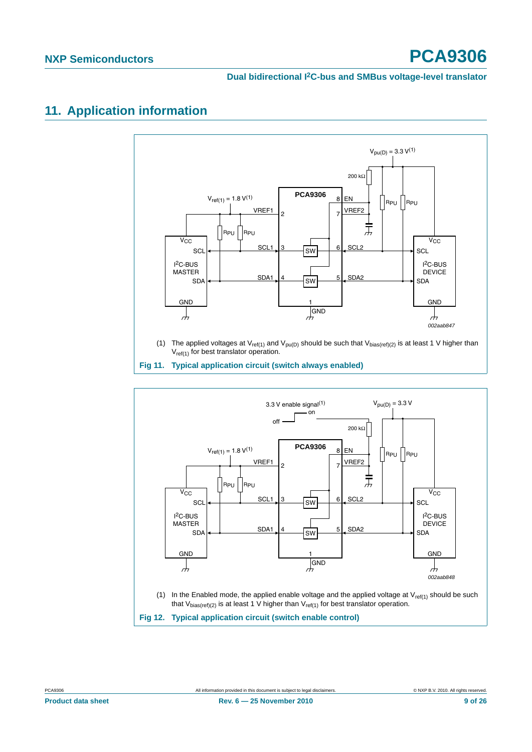# <span id="page-8-1"></span>**11. Application information**



<span id="page-8-0"></span>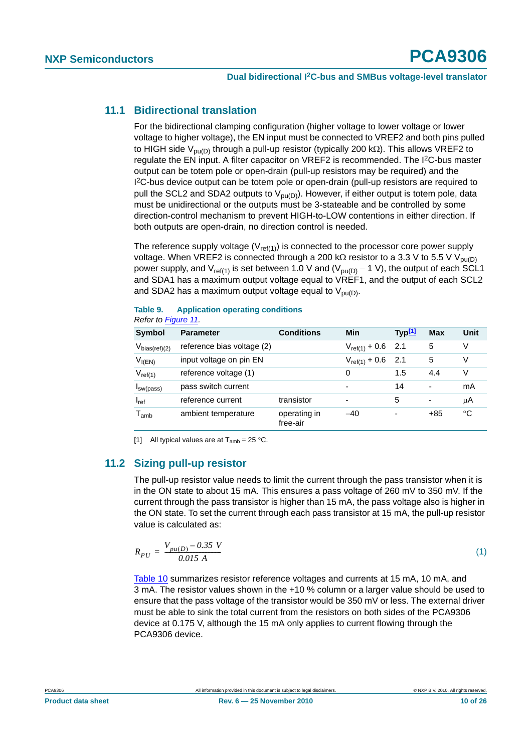#### <span id="page-9-1"></span>**11.1 Bidirectional translation**

For the bidirectional clamping configuration (higher voltage to lower voltage or lower voltage to higher voltage), the EN input must be connected to VREF2 and both pins pulled to HIGH side V<sub>pu(D)</sub> through a pull-up resistor (typically 200 kΩ). This allows VREF2 to regulate the EN input. A filter capacitor on VREF2 is recommended. The I<sup>2</sup>C-bus master output can be totem pole or open-drain (pull-up resistors may be required) and the <sup>12</sup>C-bus device output can be totem pole or open-drain (pull-up resistors are required to pull the SCL2 and SDA2 outputs to  $V_{\text{pu(D)}}$ . However, if either output is totem pole, data must be unidirectional or the outputs must be 3-stateable and be controlled by some direction-control mechanism to prevent HIGH-to-LOW contentions in either direction. If both outputs are open-drain, no direction control is needed.

The reference supply voltage  $(V_{ref(1)})$  is connected to the processor core power supply voltage. When VREF2 is connected through a 200 kΩ resistor to a 3.3 V to 5.5 V V<sub>pu(D)</sub> power supply, and  $V_{ref(1)}$  is set between 1.0 V and ( $V_{pU(D)}$  – 1 V), the output of each SCL1 and SDA1 has a maximum output voltage equal to VREF1, and the output of each SCL2 and SDA2 has a maximum output voltage equal to  $V_{\text{nu(D)}}$ .

| $11500001$ $11.000000001$ |                            |                          |                    |                    |                          |      |
|---------------------------|----------------------------|--------------------------|--------------------|--------------------|--------------------------|------|
| <b>Symbol</b>             | <b>Parameter</b>           | <b>Conditions</b>        | Min                | Typ <sup>[1]</sup> | <b>Max</b>               | Unit |
| $V_{bias(ref)(2)}$        | reference bias voltage (2) |                          | $V_{ref(1)} + 0.6$ | -2.1               | 5                        | V    |
| $V_{I(EN)}$               | input voltage on pin EN    |                          | $V_{ref(1)} + 0.6$ | -2.1               | 5                        | V    |
| $V_{ref(1)}$              | reference voltage (1)      |                          | 0                  | 1.5                | 4.4                      | V    |
| I <sub>SW</sub> (pass)    | pass switch current        |                          | $\blacksquare$     | 14                 | $\overline{\phantom{a}}$ | mA   |
| <b>I</b> <sub>ref</sub>   | reference current          | transistor               | -                  | 5                  | $\overline{\phantom{0}}$ | μA   |
| $T_{\mathsf{amb}}$        | ambient temperature        | operating in<br>free-air | $-40$              | ٠                  | $+85$                    | °C   |

#### **Table 9. Application operating conditions** *Refer to [Figure 11.](#page-8-0)*

<span id="page-9-0"></span>[1] All typical values are at  $T_{amb} = 25 \degree C$ .

### <span id="page-9-2"></span>**11.2 Sizing pull-up resistor**

The pull-up resistor value needs to limit the current through the pass transistor when it is in the ON state to about 15 mA. This ensures a pass voltage of 260 mV to 350 mV. If the current through the pass transistor is higher than 15 mA, the pass voltage also is higher in the ON state. To set the current through each pass transistor at 15 mA, the pull-up resistor value is calculated as:

$$
R_{PU} = \frac{V_{pu(D)} - 0.35 \text{ V}}{0.015 \text{ A}}
$$
 (1)

[Table 10](#page-10-0) summarizes resistor reference voltages and currents at 15 mA, 10 mA, and 3 mA. The resistor values shown in the +10 % column or a larger value should be used to ensure that the pass voltage of the transistor would be 350 mV or less. The external driver must be able to sink the total current from the resistors on both sides of the PCA9306 device at 0.175 V, although the 15 mA only applies to current flowing through the PCA9306 device.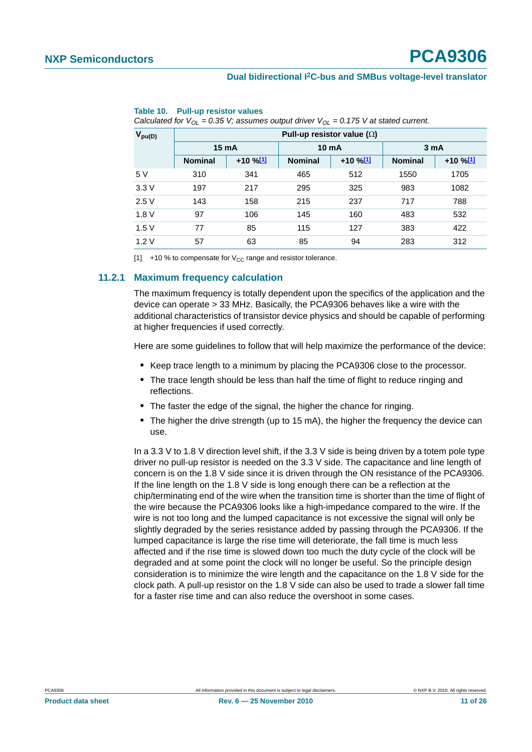<span id="page-10-0"></span>

| Table 10. | <b>Pull-up resistor values</b> |
|-----------|--------------------------------|
|-----------|--------------------------------|

*Calculated for*  $V_{OL} = 0.35$  *V; assumes output driver*  $V_{OL} = 0.175$  *V at stated current.* 

| $V_{pu(D)}$ | Pull-up resistor value ( $\Omega$ ) |                  |                |                      |                  |                      |  |
|-------------|-------------------------------------|------------------|----------------|----------------------|------------------|----------------------|--|
|             | 15 mA                               |                  | 10 mA          |                      | 3 <sub>m</sub> A |                      |  |
|             | <b>Nominal</b>                      | +10 % <u>[1]</u> | <b>Nominal</b> | +10 % <sup>[1]</sup> | <b>Nominal</b>   | +10 % <sup>[1]</sup> |  |
| 5 V         | 310                                 | 341              | 465            | 512                  | 1550             | 1705                 |  |
| 3.3V        | 197                                 | 217              | 295            | 325                  | 983              | 1082                 |  |
| 2.5V        | 143                                 | 158              | 215            | 237                  | 717              | 788                  |  |
| 1.8V        | 97                                  | 106              | 145            | 160                  | 483              | 532                  |  |
| 1.5V        | 77                                  | 85               | 115            | 127                  | 383              | 422                  |  |
| 1.2V        | 57                                  | 63               | 85             | 94                   | 283              | 312                  |  |

<span id="page-10-1"></span>[1] +10 % to compensate for  $V_{CC}$  range and resistor tolerance.

#### <span id="page-10-2"></span>**11.2.1 Maximum frequency calculation**

The maximum frequency is totally dependent upon the specifics of the application and the device can operate > 33 MHz. Basically, the PCA9306 behaves like a wire with the additional characteristics of transistor device physics and should be capable of performing at higher frequencies if used correctly.

Here are some guidelines to follow that will help maximize the performance of the device:

- **•** Keep trace length to a minimum by placing the PCA9306 close to the processor.
- **•** The trace length should be less than half the time of flight to reduce ringing and reflections.
- **•** The faster the edge of the signal, the higher the chance for ringing.
- **•** The higher the drive strength (up to 15 mA), the higher the frequency the device can use.

In a 3.3 V to 1.8 V direction level shift, if the 3.3 V side is being driven by a totem pole type driver no pull-up resistor is needed on the 3.3 V side. The capacitance and line length of concern is on the 1.8 V side since it is driven through the ON resistance of the PCA9306. If the line length on the 1.8 V side is long enough there can be a reflection at the chip/terminating end of the wire when the transition time is shorter than the time of flight of the wire because the PCA9306 looks like a high-impedance compared to the wire. If the wire is not too long and the lumped capacitance is not excessive the signal will only be slightly degraded by the series resistance added by passing through the PCA9306. If the lumped capacitance is large the rise time will deteriorate, the fall time is much less affected and if the rise time is slowed down too much the duty cycle of the clock will be degraded and at some point the clock will no longer be useful. So the principle design consideration is to minimize the wire length and the capacitance on the 1.8 V side for the clock path. A pull-up resistor on the 1.8 V side can also be used to trade a slower fall time for a faster rise time and can also reduce the overshoot in some cases.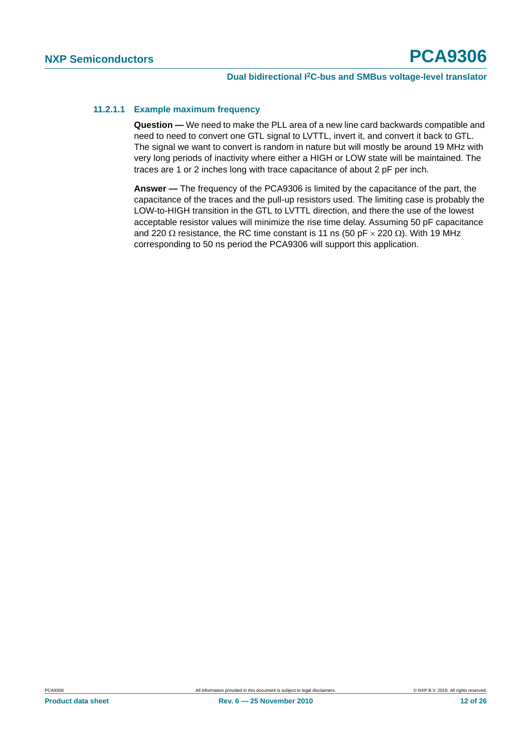#### <span id="page-11-0"></span>**11.2.1.1 Example maximum frequency**

**Question —** We need to make the PLL area of a new line card backwards compatible and need to need to convert one GTL signal to LVTTL, invert it, and convert it back to GTL. The signal we want to convert is random in nature but will mostly be around 19 MHz with very long periods of inactivity where either a HIGH or LOW state will be maintained. The traces are 1 or 2 inches long with trace capacitance of about 2 pF per inch.

**Answer —** The frequency of the PCA9306 is limited by the capacitance of the part, the capacitance of the traces and the pull-up resistors used. The limiting case is probably the LOW-to-HIGH transition in the GTL to LVTTL direction, and there the use of the lowest acceptable resistor values will minimize the rise time delay. Assuming 50 pF capacitance and 220  $\Omega$  resistance, the RC time constant is 11 ns (50 pF  $\times$  220  $\Omega$ ). With 19 MHz corresponding to 50 ns period the PCA9306 will support this application.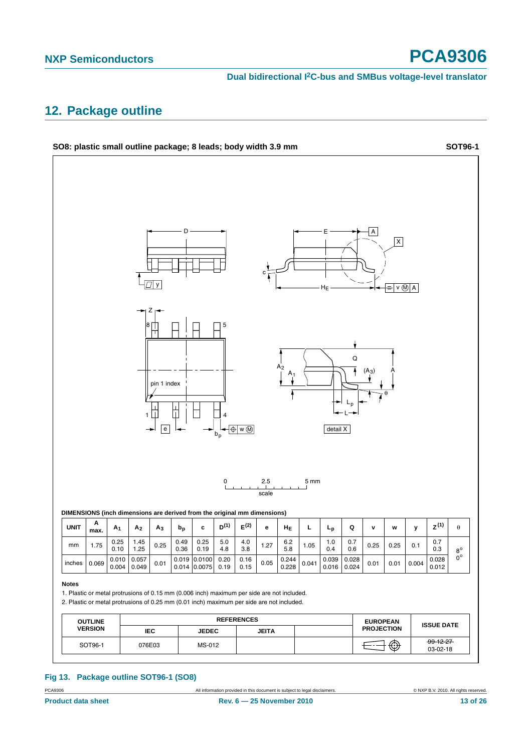## <span id="page-12-0"></span>**12. Package outline**

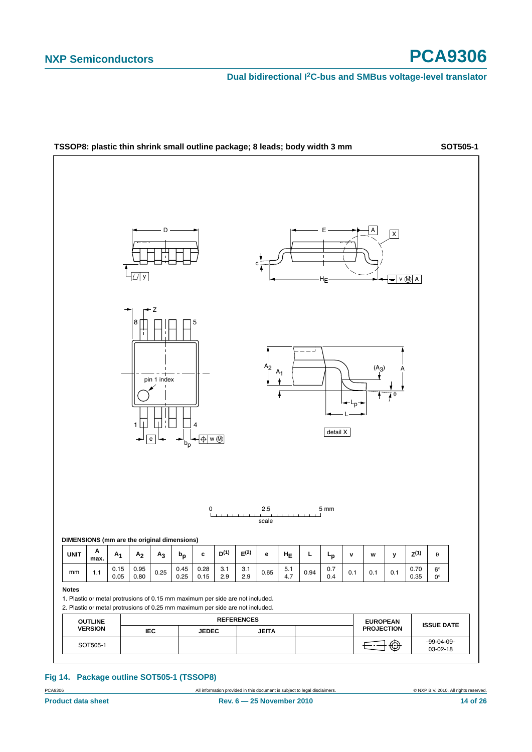**Dual bidirectional I2C-bus and SMBus voltage-level translator**



#### **Fig 14. Package outline SOT505-1 (TSSOP8)**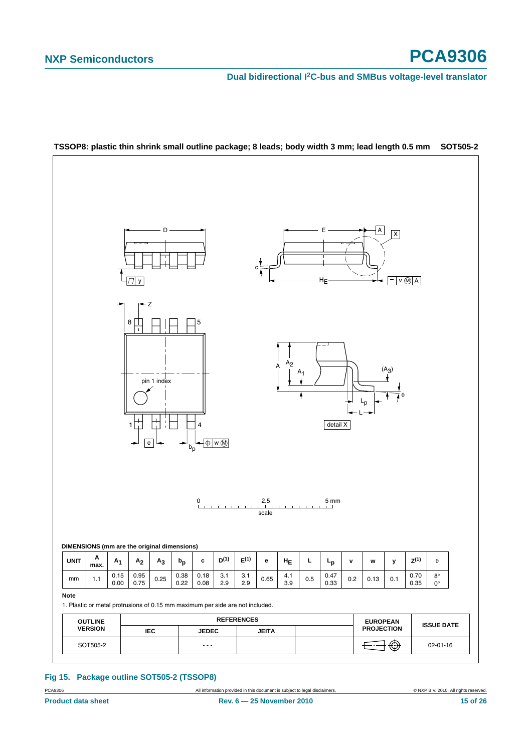**Dual bidirectional I2C-bus and SMBus voltage-level translator**



#### **TSSOP8: plastic thin shrink small outline package; 8 leads; body width 3 mm; lead length 0.5 mm SOT505-2**

#### **Fig 15. Package outline SOT505-2 (TSSOP8)**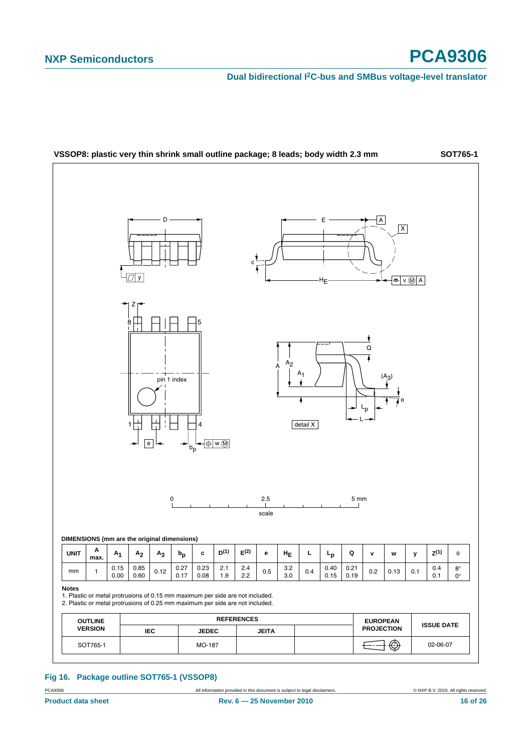**Dual bidirectional I2C-bus and SMBus voltage-level translator**



#### **Fig 16. Package outline SOT765-1 (VSSOP8)**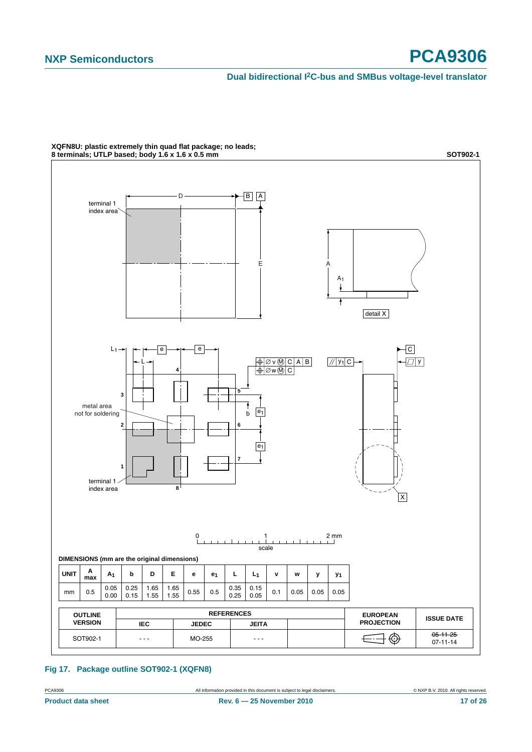#### **Dual bidirectional I2C-bus and SMBus voltage-level translator**



**Fig 17. Package outline SOT902-1 (XQFN8)**

PCA9306 All information provided in this document is subject to legal disclaimers. © NXP B.V. 2010. All rights reserved.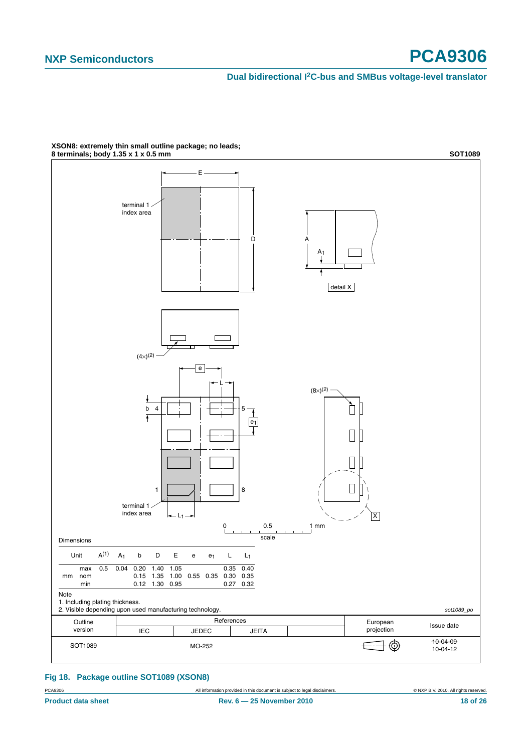**Dual bidirectional I2C-bus and SMBus voltage-level translator**



**XSON8: extremely thin small outline package; no leads;**

#### **Fig 18. Package outline SOT1089 (XSON8)**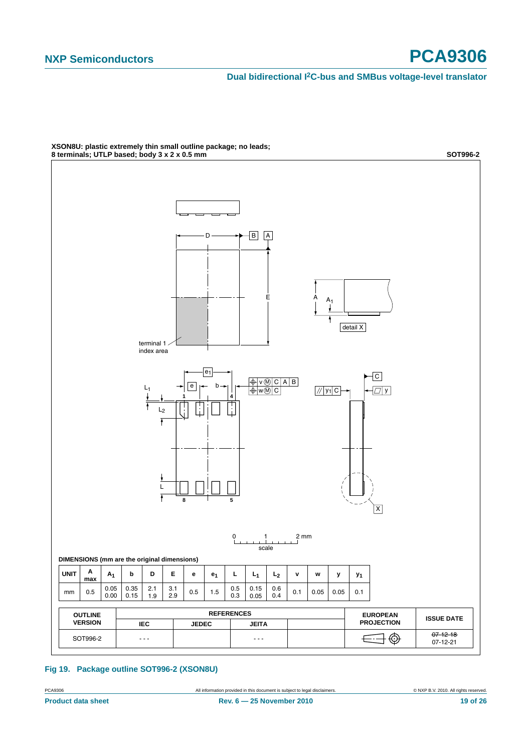#### **Dual bidirectional I2C-bus and SMBus voltage-level translator**



**XSON8U: plastic extremely thin small outline package; no leads;**

#### **Fig 19. Package outline SOT996-2 (XSON8U)**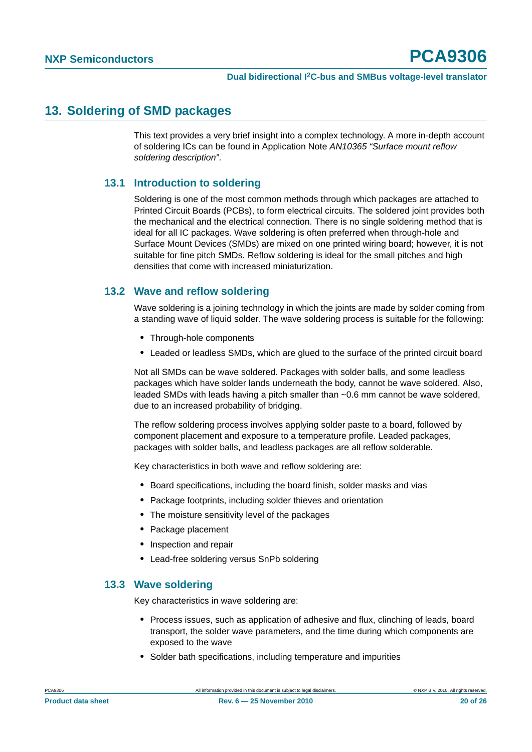### <span id="page-19-0"></span>**13. Soldering of SMD packages**

This text provides a very brief insight into a complex technology. A more in-depth account of soldering ICs can be found in Application Note *AN10365 "Surface mount reflow soldering description"*.

#### <span id="page-19-1"></span>**13.1 Introduction to soldering**

Soldering is one of the most common methods through which packages are attached to Printed Circuit Boards (PCBs), to form electrical circuits. The soldered joint provides both the mechanical and the electrical connection. There is no single soldering method that is ideal for all IC packages. Wave soldering is often preferred when through-hole and Surface Mount Devices (SMDs) are mixed on one printed wiring board; however, it is not suitable for fine pitch SMDs. Reflow soldering is ideal for the small pitches and high densities that come with increased miniaturization.

### <span id="page-19-2"></span>**13.2 Wave and reflow soldering**

Wave soldering is a joining technology in which the joints are made by solder coming from a standing wave of liquid solder. The wave soldering process is suitable for the following:

- **•** Through-hole components
- **•** Leaded or leadless SMDs, which are glued to the surface of the printed circuit board

Not all SMDs can be wave soldered. Packages with solder balls, and some leadless packages which have solder lands underneath the body, cannot be wave soldered. Also, leaded SMDs with leads having a pitch smaller than ~0.6 mm cannot be wave soldered, due to an increased probability of bridging.

The reflow soldering process involves applying solder paste to a board, followed by component placement and exposure to a temperature profile. Leaded packages, packages with solder balls, and leadless packages are all reflow solderable.

Key characteristics in both wave and reflow soldering are:

- **•** Board specifications, including the board finish, solder masks and vias
- **•** Package footprints, including solder thieves and orientation
- **•** The moisture sensitivity level of the packages
- **•** Package placement
- **•** Inspection and repair
- **•** Lead-free soldering versus SnPb soldering

#### <span id="page-19-3"></span>**13.3 Wave soldering**

Key characteristics in wave soldering are:

- **•** Process issues, such as application of adhesive and flux, clinching of leads, board transport, the solder wave parameters, and the time during which components are exposed to the wave
- **•** Solder bath specifications, including temperature and impurities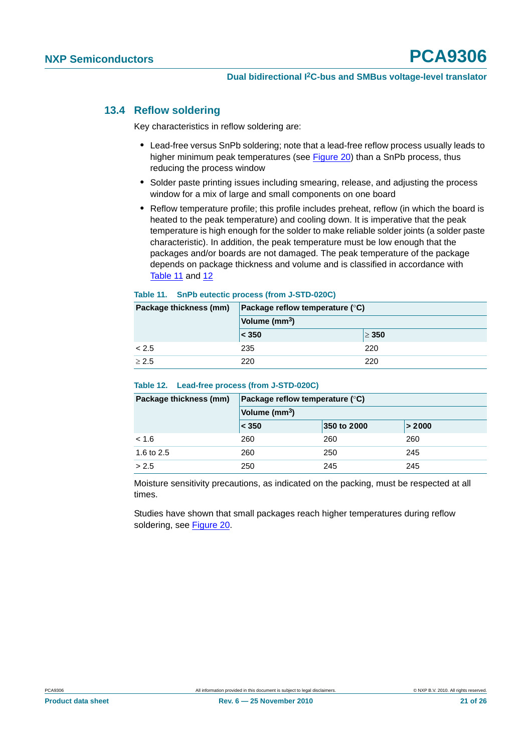#### <span id="page-20-0"></span>**13.4 Reflow soldering**

Key characteristics in reflow soldering are:

- **•** Lead-free versus SnPb soldering; note that a lead-free reflow process usually leads to higher minimum peak temperatures (see Figure 20) than a SnPb process, thus reducing the process window
- **•** Solder paste printing issues including smearing, release, and adjusting the process window for a mix of large and small components on one board
- **•** Reflow temperature profile; this profile includes preheat, reflow (in which the board is heated to the peak temperature) and cooling down. It is imperative that the peak temperature is high enough for the solder to make reliable solder joints (a solder paste characteristic). In addition, the peak temperature must be low enough that the packages and/or boards are not damaged. The peak temperature of the package depends on package thickness and volume and is classified in accordance with Table 11 and 12

#### **Table 11. SnPb eutectic process (from J-STD-020C)**

| Package thickness (mm) | Package reflow temperature $(^\circ \text{C})$ |            |  |
|------------------------|------------------------------------------------|------------|--|
|                        | Volume (mm <sup>3</sup> )                      |            |  |
|                        | < 350                                          | $\geq 350$ |  |
| < 2.5                  | 235                                            | 220        |  |
| > 2.5                  | 220                                            | 220        |  |

#### **Table 12. Lead-free process (from J-STD-020C)**

| Package thickness (mm) | Package reflow temperature $(°C)$ |             |        |
|------------------------|-----------------------------------|-------------|--------|
|                        | Volume (mm <sup>3</sup> )         |             |        |
|                        | $\leq 350$                        | 350 to 2000 | > 2000 |
| < 1.6                  | 260                               | 260         | 260    |
| 1.6 to 2.5             | 260                               | 250         | 245    |
| > 2.5                  | 250                               | 245         | 245    |

Moisture sensitivity precautions, as indicated on the packing, must be respected at all times.

Studies have shown that small packages reach higher temperatures during reflow soldering, see Figure 20.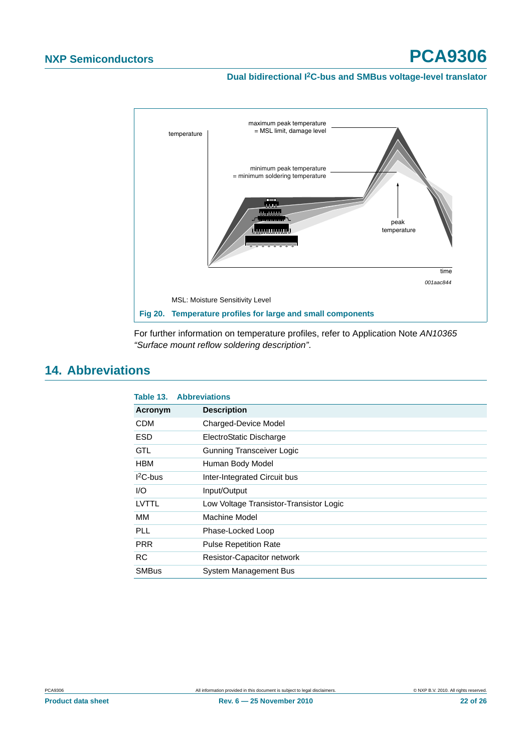#### **Dual bidirectional I2C-bus and SMBus voltage-level translator**



For further information on temperature profiles, refer to Application Note *AN10365 "Surface mount reflow soldering description"*.

# <span id="page-21-0"></span>**14. Abbreviations**

| Table 13.    | <b>Abbreviations</b>                    |
|--------------|-----------------------------------------|
| Acronym      | <b>Description</b>                      |
| <b>CDM</b>   | Charged-Device Model                    |
| <b>ESD</b>   | ElectroStatic Discharge                 |
| <b>GTL</b>   | <b>Gunning Transceiver Logic</b>        |
| <b>HBM</b>   | Human Body Model                        |
| $12C$ -bus   | Inter-Integrated Circuit bus            |
| 1/O          | Input/Output                            |
| <b>LVTTL</b> | Low Voltage Transistor-Transistor Logic |
| MМ           | Machine Model                           |
| <b>PLL</b>   | Phase-Locked Loop                       |
| <b>PRR</b>   | <b>Pulse Repetition Rate</b>            |
| <b>RC</b>    | <b>Resistor-Capacitor network</b>       |
| <b>SMBus</b> | System Management Bus                   |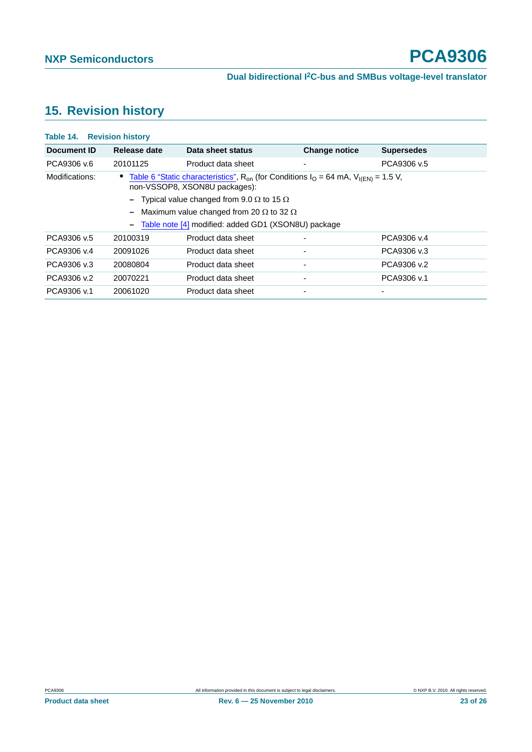# <span id="page-22-0"></span>**15. Revision history**

| <b>Table 14. Revision history</b> |                                                          |                                                                                                                                 |                      |                   |  |  |  |
|-----------------------------------|----------------------------------------------------------|---------------------------------------------------------------------------------------------------------------------------------|----------------------|-------------------|--|--|--|
| Document ID                       | Release date                                             | Data sheet status                                                                                                               | <b>Change notice</b> | <b>Supersedes</b> |  |  |  |
| PCA9306 v.6                       | 20101125                                                 | Product data sheet                                                                                                              |                      | PCA9306 v.5       |  |  |  |
| Modifications:                    |                                                          | Table 6 "Static characteristics", $R_{on}$ (for Conditions $I_0 = 64$ mA, $V_{I(EN)} = 1.5$ V,<br>non-VSSOP8, XSON8U packages): |                      |                   |  |  |  |
|                                   | - Typical value changed from 9.0 $\Omega$ to 15 $\Omega$ |                                                                                                                                 |                      |                   |  |  |  |
|                                   | -                                                        | Maximum value changed from 20 $\Omega$ to 32 $\Omega$                                                                           |                      |                   |  |  |  |
|                                   | $\overline{\phantom{m}}$                                 | Table note [4] modified: added GD1 (XSON8U) package                                                                             |                      |                   |  |  |  |
| PCA9306 v.5                       | 20100319                                                 | Product data sheet                                                                                                              |                      | PCA9306 v.4       |  |  |  |
| PCA9306 v.4                       | 20091026                                                 | Product data sheet                                                                                                              |                      | PCA9306 v.3       |  |  |  |
| PCA9306 v.3                       | 20080804                                                 | Product data sheet                                                                                                              |                      | PCA9306 v.2       |  |  |  |
| PCA9306 v.2                       | 20070221                                                 | Product data sheet                                                                                                              |                      | PCA9306 v.1       |  |  |  |
| PCA9306 v.1                       | 20061020                                                 | Product data sheet                                                                                                              |                      |                   |  |  |  |
|                                   |                                                          |                                                                                                                                 |                      |                   |  |  |  |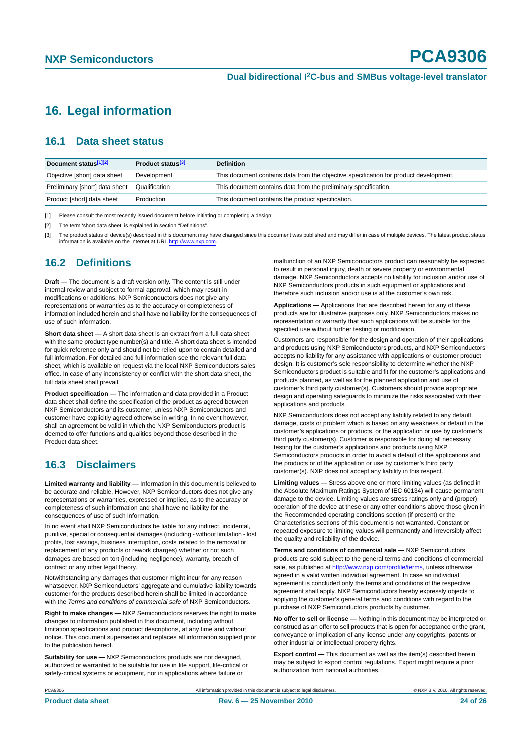# <span id="page-23-0"></span>**16. Legal information**

#### <span id="page-23-1"></span>**16.1 Data sheet status**

| Document status[1][2]          | Product status <sup>[3]</sup> | <b>Definition</b>                                                                     |
|--------------------------------|-------------------------------|---------------------------------------------------------------------------------------|
| Objective [short] data sheet   | Development                   | This document contains data from the objective specification for product development. |
| Preliminary [short] data sheet | Qualification                 | This document contains data from the preliminary specification.                       |
| Product [short] data sheet     | Production                    | This document contains the product specification.                                     |

[1] Please consult the most recently issued document before initiating or completing a design.

[2] The term 'short data sheet' is explained in section "Definitions".

[3] The product status of device(s) described in this document may have changed since this document was published and may differ in case of multiple devices. The latest product status<br>information is available on the Intern

#### <span id="page-23-2"></span>**16.2 Definitions**

**Draft —** The document is a draft version only. The content is still under internal review and subject to formal approval, which may result in modifications or additions. NXP Semiconductors does not give any representations or warranties as to the accuracy or completeness of information included herein and shall have no liability for the consequences of use of such information.

**Short data sheet —** A short data sheet is an extract from a full data sheet with the same product type number(s) and title. A short data sheet is intended for quick reference only and should not be relied upon to contain detailed and full information. For detailed and full information see the relevant full data sheet, which is available on request via the local NXP Semiconductors sales office. In case of any inconsistency or conflict with the short data sheet, the full data sheet shall prevail.

**Product specification —** The information and data provided in a Product data sheet shall define the specification of the product as agreed between NXP Semiconductors and its customer, unless NXP Semiconductors and customer have explicitly agreed otherwise in writing. In no event however, shall an agreement be valid in which the NXP Semiconductors product is deemed to offer functions and qualities beyond those described in the Product data sheet.

### <span id="page-23-3"></span>**16.3 Disclaimers**

**Limited warranty and liability —** Information in this document is believed to be accurate and reliable. However, NXP Semiconductors does not give any representations or warranties, expressed or implied, as to the accuracy or completeness of such information and shall have no liability for the consequences of use of such information.

In no event shall NXP Semiconductors be liable for any indirect, incidental, punitive, special or consequential damages (including - without limitation - lost profits, lost savings, business interruption, costs related to the removal or replacement of any products or rework charges) whether or not such damages are based on tort (including negligence), warranty, breach of contract or any other legal theory.

Notwithstanding any damages that customer might incur for any reason whatsoever, NXP Semiconductors' aggregate and cumulative liability towards customer for the products described herein shall be limited in accordance with the *Terms and conditions of commercial sale* of NXP Semiconductors.

**Right to make changes —** NXP Semiconductors reserves the right to make changes to information published in this document, including without limitation specifications and product descriptions, at any time and without notice. This document supersedes and replaces all information supplied prior to the publication hereof.

**Suitability for use —** NXP Semiconductors products are not designed, authorized or warranted to be suitable for use in life support, life-critical or safety-critical systems or equipment, nor in applications where failure or

malfunction of an NXP Semiconductors product can reasonably be expected to result in personal injury, death or severe property or environmental damage. NXP Semiconductors accepts no liability for inclusion and/or use of NXP Semiconductors products in such equipment or applications and therefore such inclusion and/or use is at the customer's own risk.

**Applications —** Applications that are described herein for any of these products are for illustrative purposes only. NXP Semiconductors makes no representation or warranty that such applications will be suitable for the specified use without further testing or modification.

Customers are responsible for the design and operation of their applications and products using NXP Semiconductors products, and NXP Semiconductors accepts no liability for any assistance with applications or customer product design. It is customer's sole responsibility to determine whether the NXP Semiconductors product is suitable and fit for the customer's applications and products planned, as well as for the planned application and use of customer's third party customer(s). Customers should provide appropriate design and operating safeguards to minimize the risks associated with their applications and products.

NXP Semiconductors does not accept any liability related to any default, damage, costs or problem which is based on any weakness or default in the customer's applications or products, or the application or use by customer's third party customer(s). Customer is responsible for doing all necessary testing for the customer's applications and products using NXP Semiconductors products in order to avoid a default of the applications and the products or of the application or use by customer's third party customer(s). NXP does not accept any liability in this respect.

**Limiting values —** Stress above one or more limiting values (as defined in the Absolute Maximum Ratings System of IEC 60134) will cause permanent damage to the device. Limiting values are stress ratings only and (proper) operation of the device at these or any other conditions above those given in the Recommended operating conditions section (if present) or the Characteristics sections of this document is not warranted. Constant or repeated exposure to limiting values will permanently and irreversibly affect the quality and reliability of the device.

**Terms and conditions of commercial sale —** NXP Semiconductors products are sold subject to the general terms and conditions of commercial sale, as published at<http://www.nxp.com/profile/terms>, unless otherwise agreed in a valid written individual agreement. In case an individual agreement is concluded only the terms and conditions of the respective agreement shall apply. NXP Semiconductors hereby expressly objects to applying the customer's general terms and conditions with regard to the purchase of NXP Semiconductors products by customer.

**No offer to sell or license —** Nothing in this document may be interpreted or construed as an offer to sell products that is open for acceptance or the grant, conveyance or implication of any license under any copyrights, patents or other industrial or intellectual property rights.

**Export control —** This document as well as the item(s) described herein may be subject to export control regulations. Export might require a prior authorization from national authorities.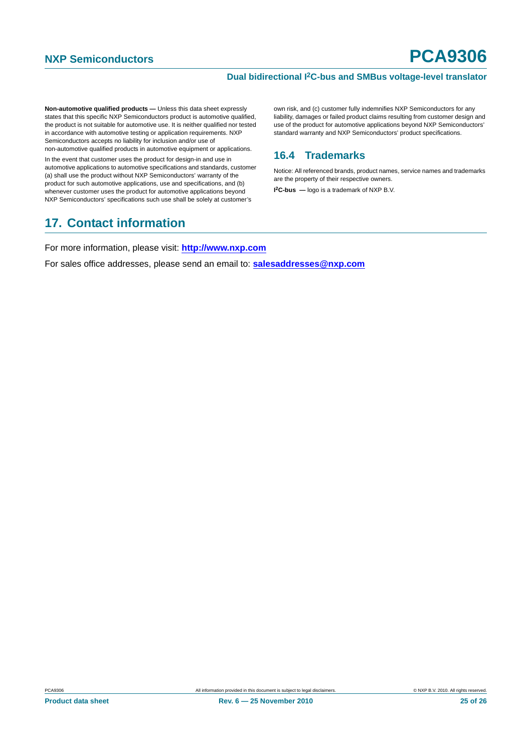#### **Dual bidirectional I2C-bus and SMBus voltage-level translator**

**Non-automotive qualified products —** Unless this data sheet expressly states that this specific NXP Semiconductors product is automotive qualified, the product is not suitable for automotive use. It is neither qualified nor tested in accordance with automotive testing or application requirements. NXP Semiconductors accepts no liability for inclusion and/or use of non-automotive qualified products in automotive equipment or applications.

In the event that customer uses the product for design-in and use in automotive applications to automotive specifications and standards, customer (a) shall use the product without NXP Semiconductors' warranty of the product for such automotive applications, use and specifications, and (b) whenever customer uses the product for automotive applications beyond NXP Semiconductors' specifications such use shall be solely at customer's

# <span id="page-24-1"></span>**17. Contact information**

own risk, and (c) customer fully indemnifies NXP Semiconductors for any liability, damages or failed product claims resulting from customer design and use of the product for automotive applications beyond NXP Semiconductors' standard warranty and NXP Semiconductors' product specifications.

### <span id="page-24-0"></span>**16.4 Trademarks**

Notice: All referenced brands, product names, service names and trademarks are the property of their respective owners.

**I 2C-bus —** logo is a trademark of NXP B.V.

For more information, please visit: **http://www.nxp.com**

For sales office addresses, please send an email to: **salesaddresses@nxp.com**